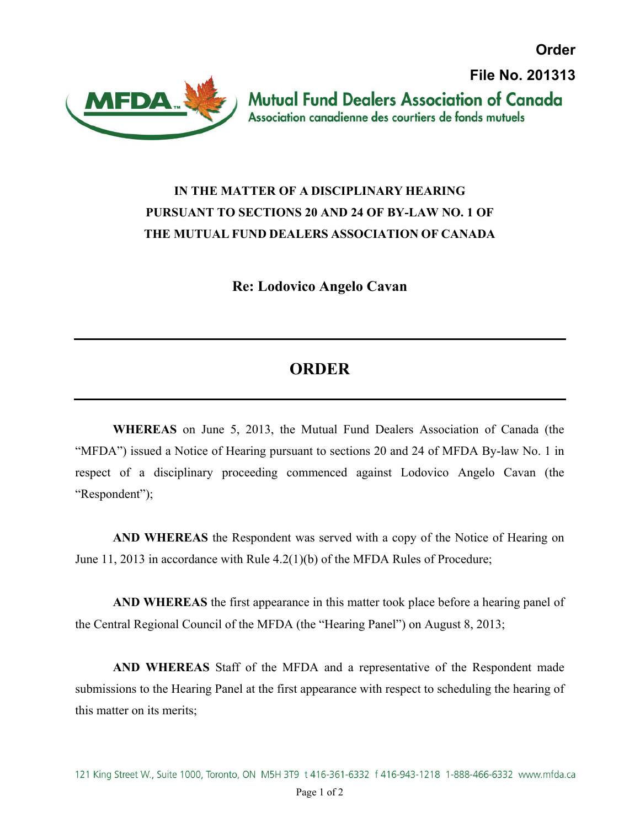**Order**



 **File No. 201313Mutual Fund Dealers Association of Canada** Association canadienne des courtiers de fonds mutuels

## **IN THE MATTER OF A DISCIPLINARY HEARING PURSUANT TO SECTIONS 20 AND 24 OF BY-LAW NO. 1 OF THE MUTUAL FUND DEALERS ASSOCIATION OF CANADA**

**Re: Lodovico Angelo Cavan**

## **ORDER**

**WHEREAS** on June 5, 2013, the Mutual Fund Dealers Association of Canada (the "MFDA") issued a Notice of Hearing pursuant to sections 20 and 24 of MFDA By-law No. 1 in respect of a disciplinary proceeding commenced against Lodovico Angelo Cavan (the "Respondent");

**AND WHEREAS** the Respondent was served with a copy of the Notice of Hearing on June 11, 2013 in accordance with Rule 4.2(1)(b) of the MFDA Rules of Procedure;

**AND WHEREAS** the first appearance in this matter took place before a hearing panel of the Central Regional Council of the MFDA (the "Hearing Panel") on August 8, 2013;

**AND WHEREAS** Staff of the MFDA and a representative of the Respondent made submissions to the Hearing Panel at the first appearance with respect to scheduling the hearing of this matter on its merits;